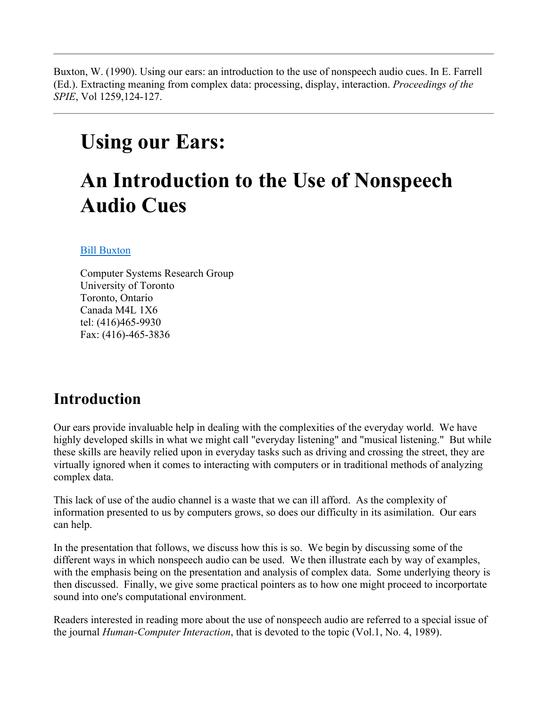Buxton, W. (1990). Using our ears: an introduction to the use of nonspeech audio cues. In E. Farrell (Ed.). Extracting meaning from complex data: processing, display, interaction. Proceedings of the SPIE, Vol 1259,124-127.

# Using our Ears:

## An Introduction to the Use of Nonspeech Audio Cues

#### Bill Buxton

Computer Systems Research Group University of Toronto Toronto, Ontario Canada M4L 1X6 tel: (416)465-9930 Fax: (416)-465-3836

### Introduction

Our ears provide invaluable help in dealing with the complexities of the everyday world. We have highly developed skills in what we might call "everyday listening" and "musical listening." But while these skills are heavily relied upon in everyday tasks such as driving and crossing the street, they are virtually ignored when it comes to interacting with computers or in traditional methods of analyzing complex data.

This lack of use of the audio channel is a waste that we can ill afford. As the complexity of information presented to us by computers grows, so does our difficulty in its asimilation. Our ears can help.

In the presentation that follows, we discuss how this is so. We begin by discussing some of the different ways in which nonspeech audio can be used. We then illustrate each by way of examples, with the emphasis being on the presentation and analysis of complex data. Some underlying theory is then discussed. Finally, we give some practical pointers as to how one might proceed to incorportate sound into one's computational environment.

Readers interested in reading more about the use of nonspeech audio are referred to a special issue of the journal Human-Computer Interaction, that is devoted to the topic (Vol.1, No. 4, 1989).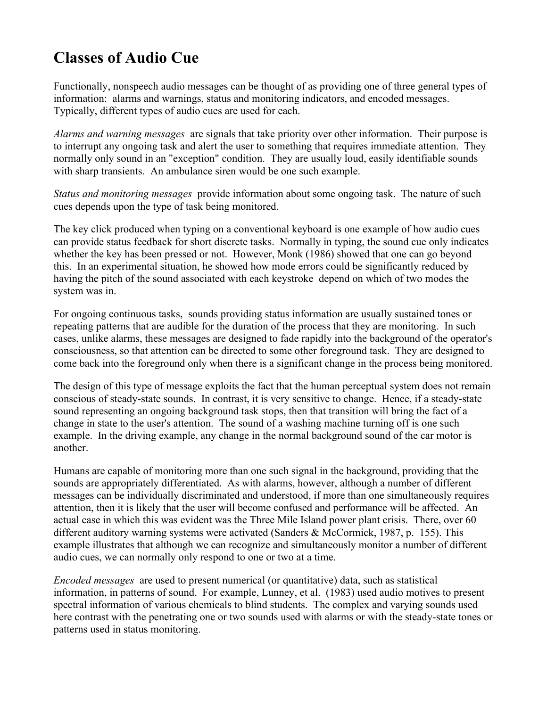### Classes of Audio Cue

Functionally, nonspeech audio messages can be thought of as providing one of three general types of information: alarms and warnings, status and monitoring indicators, and encoded messages. Typically, different types of audio cues are used for each.

Alarms and warning messages are signals that take priority over other information. Their purpose is to interrupt any ongoing task and alert the user to something that requires immediate attention. They normally only sound in an "exception" condition. They are usually loud, easily identifiable sounds with sharp transients. An ambulance siren would be one such example.

Status and monitoring messages provide information about some ongoing task. The nature of such cues depends upon the type of task being monitored.

The key click produced when typing on a conventional keyboard is one example of how audio cues can provide status feedback for short discrete tasks. Normally in typing, the sound cue only indicates whether the key has been pressed or not. However, Monk (1986) showed that one can go beyond this. In an experimental situation, he showed how mode errors could be significantly reduced by having the pitch of the sound associated with each keystroke depend on which of two modes the system was in.

For ongoing continuous tasks, sounds providing status information are usually sustained tones or repeating patterns that are audible for the duration of the process that they are monitoring. In such cases, unlike alarms, these messages are designed to fade rapidly into the background of the operator's consciousness, so that attention can be directed to some other foreground task. They are designed to come back into the foreground only when there is a significant change in the process being monitored.

The design of this type of message exploits the fact that the human perceptual system does not remain conscious of steady-state sounds. In contrast, it is very sensitive to change. Hence, if a steady-state sound representing an ongoing background task stops, then that transition will bring the fact of a change in state to the user's attention. The sound of a washing machine turning off is one such example. In the driving example, any change in the normal background sound of the car motor is another.

Humans are capable of monitoring more than one such signal in the background, providing that the sounds are appropriately differentiated. As with alarms, however, although a number of different messages can be individually discriminated and understood, if more than one simultaneously requires attention, then it is likely that the user will become confused and performance will be affected. An actual case in which this was evident was the Three Mile Island power plant crisis. There, over 60 different auditory warning systems were activated (Sanders & McCormick, 1987, p. 155). This example illustrates that although we can recognize and simultaneously monitor a number of different audio cues, we can normally only respond to one or two at a time.

Encoded messages are used to present numerical (or quantitative) data, such as statistical information, in patterns of sound. For example, Lunney, et al. (1983) used audio motives to present spectral information of various chemicals to blind students. The complex and varying sounds used here contrast with the penetrating one or two sounds used with alarms or with the steady-state tones or patterns used in status monitoring.